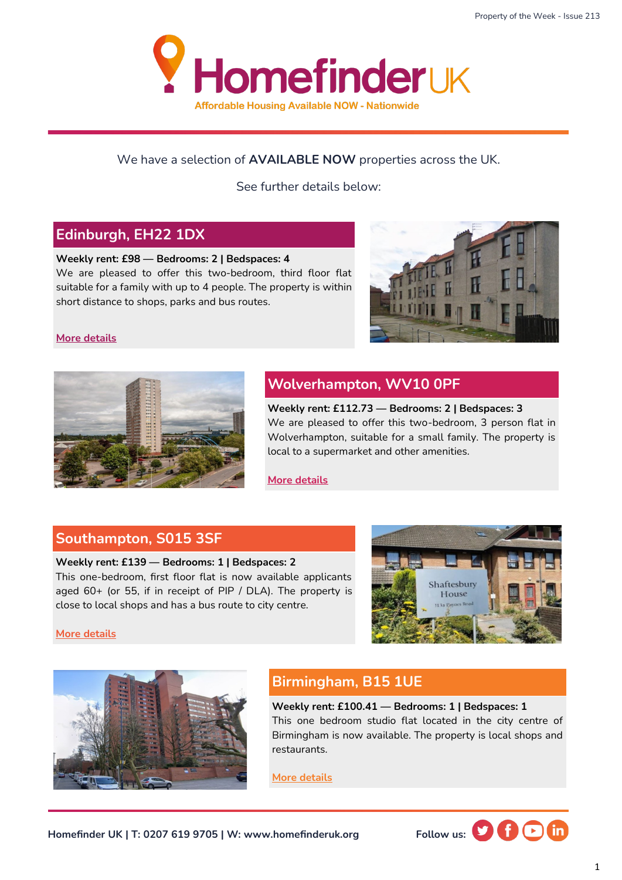

#### We have a selection of **AVAILABLE NOW** properties across the UK.

See further details below:

## **Edinburgh, EH22 1DX**

#### **Weekly rent: £98 — Bedrooms: 2 | Bedspaces: 4**

We are pleased to offer this two-bedroom, third floor flat suitable for a family with up to 4 people. The property is within short distance to shops, parks and bus routes.



#### **[More details](https://homefinderuk.org/property-detail/538622661-HF2001664)**



## **Wolverhampton, WV10 0PF**

**Weekly rent: £112.73 — Bedrooms: 2 | Bedspaces: 3**  We are pleased to offer this two-bedroom, 3 person flat in Wolverhampton, suitable for a small family. The property is local to a supermarket and other amenities.

**[More details](https://homefinderuk.org/property-detail/542398471-HF2001761)**

### **Southampton, S015 3SF**

#### **Weekly rent: £139 — Bedrooms: 1 | Bedspaces: 2**

This one-bedroom, first floor flat is now available applicants aged 60+ (or 55, if in receipt of PIP / DLA). The property is close to local shops and has a bus route to city centre.



**[More details](https://homefinderuk.org/property-detail/535842386-HF2001568)**



## **Birmingham, B15 1UE**

#### **Weekly rent: £100.41 — Bedrooms: 1 | Bedspaces: 1** This one bedroom studio flat located in the city centre of Birmingham is now available. The property is local shops and restaurants.

**[More details](https://homefinderuk.org/property-detail/538348930-HF2001650)**